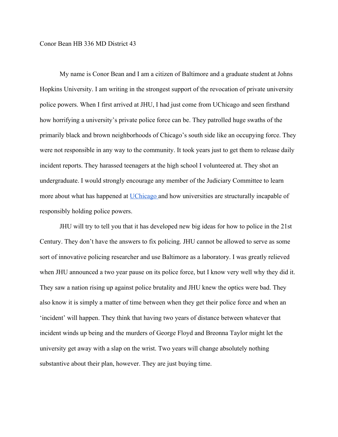## Conor Bean HB 336 MD District 43

My name is Conor Bean and I am a citizen of Baltimore and a graduate student at Johns Hopkins University. I am writing in the strongest support of the revocation of private university police powers. When I first arrived at JHU, I had just come from UChicago and seen firsthand how horrifying a university's private police force can be. They patrolled huge swaths of the primarily black and brown neighborhoods of Chicago's south side like an occupying force. They were not responsible in any way to the community. It took years just to get them to release daily incident reports. They harassed teenagers at the high school I volunteered at. They shot an undergraduate. I would strongly encourage any member of the Judiciary Committee to learn more about what has happened at [UChicago a](https://southsideweekly.com/the-fight-over-chicagos-largest-private-police-force-university-of-chicago-ucpd/)nd how universities are structurally incapable of responsibly holding police powers.

JHU will try to tell you that it has developed new big ideas for how to police in the 21st Century. They don't have the answers to fix policing. JHU cannot be allowed to serve as some sort of innovative policing researcher and use Baltimore as a laboratory. I was greatly relieved when JHU announced a two year pause on its police force, but I know very well why they did it. They saw a nation rising up against police brutality and JHU knew the optics were bad. They also know it is simply a matter of time between when they get their police force and when an 'incident' will happen. They think that having two years of distance between whatever that incident winds up being and the murders of George Floyd and Breonna Taylor might let the university get away with a slap on the wrist. Two years will change absolutely nothing substantive about their plan, however. They are just buying time.